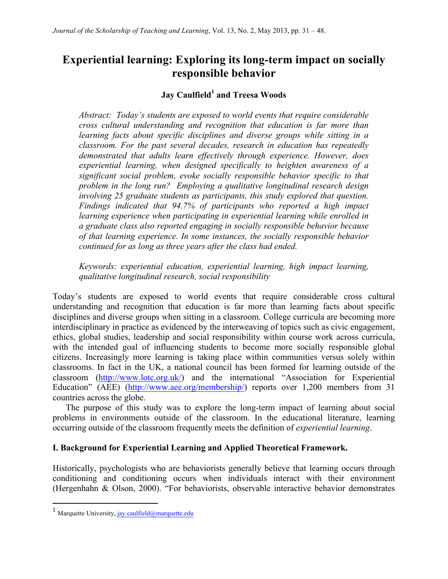# **Experiential learning: Exploring its long-term impact on socially responsible behavior**

# **Jay Caulfield<sup>1</sup> and Treesa Woods**

*Abstract: Today's students are exposed to world events that require considerable cross cultural understanding and recognition that education is far more than learning facts about specific disciplines and diverse groups while sitting in a classroom. For the past several decades, research in education has repeatedly demonstrated that adults learn effectively through experience. However, does experiential learning, when designed specifically to heighten awareness of a significant social problem, evoke socially responsible behavior specific to that problem in the long run? Employing a qualitative longitudinal research design involving 25 graduate students as participants, this study explored that question. Findings indicated that 94.7% of participants who reported a high impact learning experience when participating in experiential learning while enrolled in a graduate class also reported engaging in socially responsible behavior because of that learning experience. In some instances, the socially responsible behavior continued for as long as three years after the class had ended.*

*Keywords: experiential education, experiential learning, high impact learning, qualitative longitudinal research, social responsibility*

Today's students are exposed to world events that require considerable cross cultural understanding and recognition that education is far more than learning facts about specific disciplines and diverse groups when sitting in a classroom. College curricula are becoming more interdisciplinary in practice as evidenced by the interweaving of topics such as civic engagement, ethics, global studies, leadership and social responsibility within course work across curricula, with the intended goal of influencing students to become more socially responsible global citizens. Increasingly more learning is taking place within communities versus solely within classrooms. In fact in the UK, a national council has been formed for learning outside of the classroom (http://www.lotc.org.uk/) and the international "Association for Experiential Education" (AEE) (http://www.aee.org/membership/) reports over 1,200 members from 31 countries across the globe.

The purpose of this study was to explore the long-term impact of learning about social problems in environments outside of the classroom. In the educational literature, learning occurring outside of the classroom frequently meets the definition of *experiential learning*.

# **I. Background for Experiential Learning and Applied Theoretical Framework.**

Historically, psychologists who are behaviorists generally believe that learning occurs through conditioning and conditioning occurs when individuals interact with their environment (Hergenhahn & Olson, 2000). "For behaviorists, observable interactive behavior demonstrates

<u> 1989 - Jan Stein Stein, fransk politiker (d. 1989)</u>

<sup>&</sup>lt;sup>1</sup> Marquette University, jay.caulfield@marquette.edu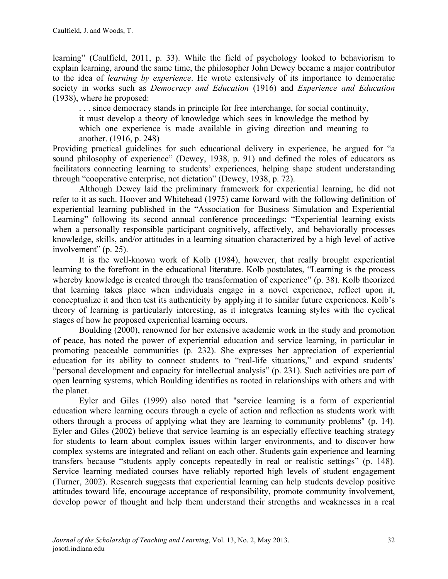learning" (Caulfield, 2011, p. 33). While the field of psychology looked to behaviorism to explain learning, around the same time, the philosopher John Dewey became a major contributor to the idea of *learning by experience*. He wrote extensively of its importance to democratic society in works such as *Democracy and Education* (1916) and *Experience and Education* (1938), where he proposed:

. . . since democracy stands in principle for free interchange, for social continuity, it must develop a theory of knowledge which sees in knowledge the method by which one experience is made available in giving direction and meaning to another. (1916, p. 248)

Providing practical guidelines for such educational delivery in experience, he argued for "a sound philosophy of experience" (Dewey, 1938, p. 91) and defined the roles of educators as facilitators connecting learning to students' experiences, helping shape student understanding through "cooperative enterprise, not dictation" (Dewey, 1938, p. 72).

Although Dewey laid the preliminary framework for experiential learning, he did not refer to it as such. Hoover and Whitehead (1975) came forward with the following definition of experiential learning published in the "Association for Business Simulation and Experiential Learning" following its second annual conference proceedings: "Experiential learning exists when a personally responsible participant cognitively, affectively, and behaviorally processes knowledge, skills, and/or attitudes in a learning situation characterized by a high level of active involvement" (p. 25).

It is the well-known work of Kolb (1984), however, that really brought experiential learning to the forefront in the educational literature. Kolb postulates, "Learning is the process whereby knowledge is created through the transformation of experience" (p. 38). Kolb theorized that learning takes place when individuals engage in a novel experience, reflect upon it, conceptualize it and then test its authenticity by applying it to similar future experiences. Kolb's theory of learning is particularly interesting, as it integrates learning styles with the cyclical stages of how he proposed experiential learning occurs.

Boulding (2000), renowned for her extensive academic work in the study and promotion of peace, has noted the power of experiential education and service learning, in particular in promoting peaceable communities (p. 232). She expresses her appreciation of experiential education for its ability to connect students to "real-life situations," and expand students' "personal development and capacity for intellectual analysis" (p. 231). Such activities are part of open learning systems, which Boulding identifies as rooted in relationships with others and with the planet.

Eyler and Giles (1999) also noted that "service learning is a form of experiential education where learning occurs through a cycle of action and reflection as students work with others through a process of applying what they are learning to community problems" (p. 14). Eyler and Giles (2002) believe that service learning is an especially effective teaching strategy for students to learn about complex issues within larger environments, and to discover how complex systems are integrated and reliant on each other. Students gain experience and learning transfers because "students apply concepts repeatedly in real or realistic settings" (p. 148). Service learning mediated courses have reliably reported high levels of student engagement (Turner, 2002). Research suggests that experiential learning can help students develop positive attitudes toward life, encourage acceptance of responsibility, promote community involvement, develop power of thought and help them understand their strengths and weaknesses in a real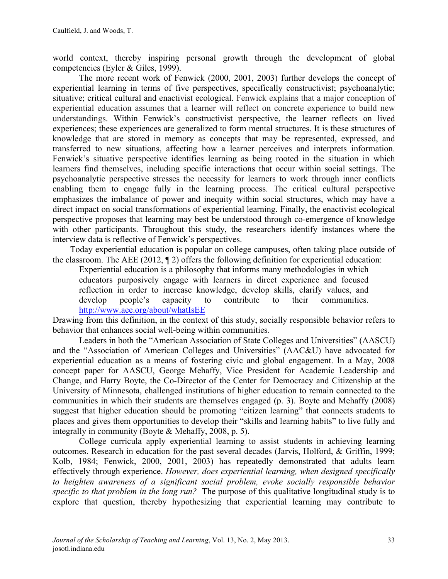world context, thereby inspiring personal growth through the development of global competencies (Eyler & Giles, 1999).

The more recent work of Fenwick (2000, 2001, 2003) further develops the concept of experiential learning in terms of five perspectives, specifically constructivist; psychoanalytic; situative; critical cultural and enactivist ecological. Fenwick explains that a major conception of experiential education assumes that a learner will reflect on concrete experience to build new understandings. Within Fenwick's constructivist perspective, the learner reflects on lived experiences; these experiences are generalized to form mental structures. It is these structures of knowledge that are stored in memory as concepts that may be represented, expressed, and transferred to new situations, affecting how a learner perceives and interprets information. Fenwick's situative perspective identifies learning as being rooted in the situation in which learners find themselves, including specific interactions that occur within social settings. The psychoanalytic perspective stresses the necessity for learners to work through inner conflicts enabling them to engage fully in the learning process. The critical cultural perspective emphasizes the imbalance of power and inequity within social structures, which may have a direct impact on social transformations of experiential learning. Finally, the enactivist ecological perspective proposes that learning may best be understood through co-emergence of knowledge with other participants. Throughout this study, the researchers identify instances where the interview data is reflective of Fenwick's perspectives.

 Today experiential education is popular on college campuses, often taking place outside of the classroom. The AEE (2012, ¶ 2) offers the following definition for experiential education:

Experiential education is a philosophy that informs many methodologies in which educators purposively engage with learners in direct experience and focused reflection in order to increase knowledge, develop skills, clarify values, and develop people's capacity to contribute to their communities. http://www.aee.org/about/whatIsEE

Drawing from this definition, in the context of this study, socially responsible behavior refers to behavior that enhances social well-being within communities.

Leaders in both the "American Association of State Colleges and Universities" (AASCU) and the "Association of American Colleges and Universities" (AAC&U) have advocated for experiential education as a means of fostering civic and global engagement. In a May, 2008 concept paper for AASCU, George Mehaffy, Vice President for Academic Leadership and Change, and Harry Boyte, the Co-Director of the Center for Democracy and Citizenship at the University of Minnesota, challenged institutions of higher education to remain connected to the communities in which their students are themselves engaged (p. 3). Boyte and Mehaffy (2008) suggest that higher education should be promoting "citizen learning" that connects students to places and gives them opportunities to develop their "skills and learning habits" to live fully and integrally in community (Boyte & Mehaffy, 2008, p. 5).

College curricula apply experiential learning to assist students in achieving learning outcomes. Research in education for the past several decades (Jarvis, Holford, & Griffin, 1999; Kolb, 1984; Fenwick, 2000, 2001, 2003) has repeatedly demonstrated that adults learn effectively through experience. *However, does experiential learning, when designed specifically to heighten awareness of a significant social problem, evoke socially responsible behavior specific to that problem in the long run?* The purpose of this qualitative longitudinal study is to explore that question, thereby hypothesizing that experiential learning may contribute to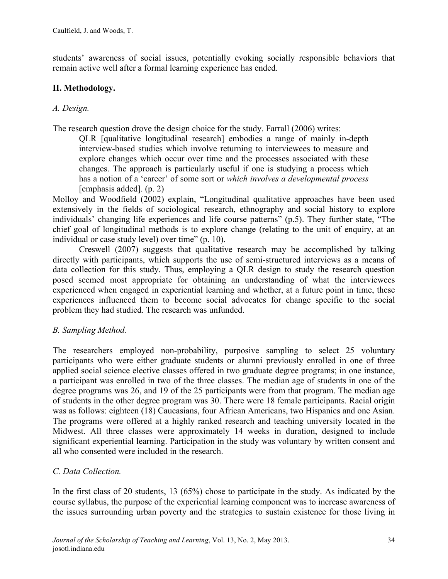students' awareness of social issues, potentially evoking socially responsible behaviors that remain active well after a formal learning experience has ended.

# **II. Methodology.**

# *A. Design.*

The research question drove the design choice for the study. Farrall (2006) writes:

QLR [qualitative longitudinal research] embodies a range of mainly in-depth interview-based studies which involve returning to interviewees to measure and explore changes which occur over time and the processes associated with these changes. The approach is particularly useful if one is studying a process which has a notion of a 'career' of some sort or *which involves a developmental process* [emphasis added]. (p. 2)

Molloy and Woodfield (2002) explain, "Longitudinal qualitative approaches have been used extensively in the fields of sociological research, ethnography and social history to explore individuals' changing life experiences and life course patterns" (p.5). They further state, "The chief goal of longitudinal methods is to explore change (relating to the unit of enquiry, at an individual or case study level) over time" (p. 10).

 Creswell (2007) suggests that qualitative research may be accomplished by talking directly with participants, which supports the use of semi-structured interviews as a means of data collection for this study. Thus, employing a QLR design to study the research question posed seemed most appropriate for obtaining an understanding of what the interviewees experienced when engaged in experiential learning and whether, at a future point in time, these experiences influenced them to become social advocates for change specific to the social problem they had studied. The research was unfunded.

# *B. Sampling Method.*

The researchers employed non-probability, purposive sampling to select 25 voluntary participants who were either graduate students or alumni previously enrolled in one of three applied social science elective classes offered in two graduate degree programs; in one instance, a participant was enrolled in two of the three classes. The median age of students in one of the degree programs was 26, and 19 of the 25 participants were from that program. The median age of students in the other degree program was 30. There were 18 female participants. Racial origin was as follows: eighteen (18) Caucasians, four African Americans, two Hispanics and one Asian. The programs were offered at a highly ranked research and teaching university located in the Midwest. All three classes were approximately 14 weeks in duration, designed to include significant experiential learning. Participation in the study was voluntary by written consent and all who consented were included in the research.

# *C. Data Collection.*

In the first class of 20 students, 13 (65%) chose to participate in the study. As indicated by the course syllabus, the purpose of the experiential learning component was to increase awareness of the issues surrounding urban poverty and the strategies to sustain existence for those living in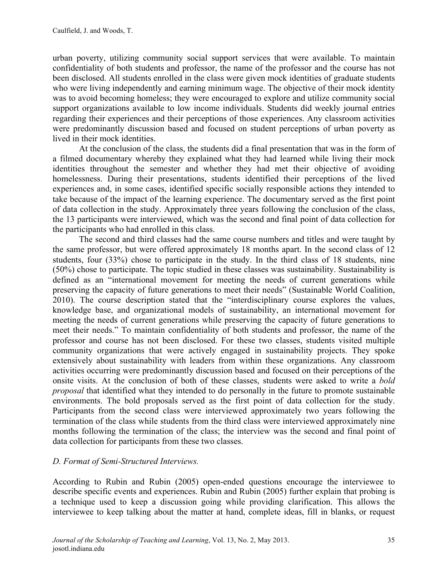urban poverty, utilizing community social support services that were available. To maintain confidentiality of both students and professor, the name of the professor and the course has not been disclosed. All students enrolled in the class were given mock identities of graduate students who were living independently and earning minimum wage. The objective of their mock identity was to avoid becoming homeless; they were encouraged to explore and utilize community social support organizations available to low income individuals. Students did weekly journal entries regarding their experiences and their perceptions of those experiences. Any classroom activities were predominantly discussion based and focused on student perceptions of urban poverty as lived in their mock identities.

At the conclusion of the class, the students did a final presentation that was in the form of a filmed documentary whereby they explained what they had learned while living their mock identities throughout the semester and whether they had met their objective of avoiding homelessness. During their presentations, students identified their perceptions of the lived experiences and, in some cases, identified specific socially responsible actions they intended to take because of the impact of the learning experience. The documentary served as the first point of data collection in the study. Approximately three years following the conclusion of the class, the 13 participants were interviewed, which was the second and final point of data collection for the participants who had enrolled in this class.

The second and third classes had the same course numbers and titles and were taught by the same professor, but were offered approximately 18 months apart. In the second class of 12 students, four (33%) chose to participate in the study. In the third class of 18 students, nine (50%) chose to participate. The topic studied in these classes was sustainability. Sustainability is defined as an "international movement for meeting the needs of current generations while preserving the capacity of future generations to meet their needs" (Sustainable World Coalition, 2010). The course description stated that the "interdisciplinary course explores the values, knowledge base, and organizational models of sustainability, an international movement for meeting the needs of current generations while preserving the capacity of future generations to meet their needs." To maintain confidentiality of both students and professor, the name of the professor and course has not been disclosed. For these two classes, students visited multiple community organizations that were actively engaged in sustainability projects. They spoke extensively about sustainability with leaders from within these organizations. Any classroom activities occurring were predominantly discussion based and focused on their perceptions of the onsite visits. At the conclusion of both of these classes, students were asked to write a *bold proposal* that identified what they intended to do personally in the future to promote sustainable environments. The bold proposals served as the first point of data collection for the study. Participants from the second class were interviewed approximately two years following the termination of the class while students from the third class were interviewed approximately nine months following the termination of the class; the interview was the second and final point of data collection for participants from these two classes.

# *D. Format of Semi-Structured Interviews.*

According to Rubin and Rubin (2005) open-ended questions encourage the interviewee to describe specific events and experiences. Rubin and Rubin (2005) further explain that probing is a technique used to keep a discussion going while providing clarification. This allows the interviewee to keep talking about the matter at hand, complete ideas, fill in blanks, or request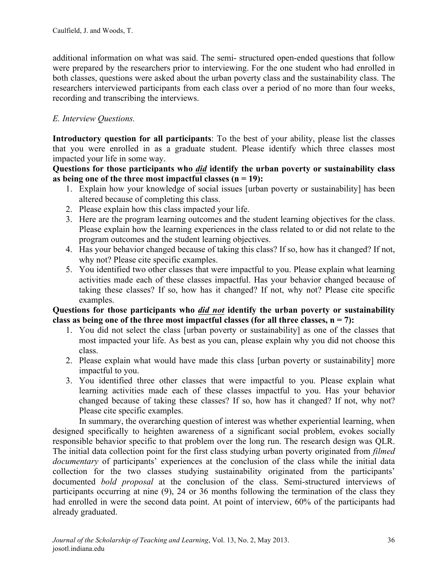additional information on what was said. The semi- structured open-ended questions that follow were prepared by the researchers prior to interviewing. For the one student who had enrolled in both classes, questions were asked about the urban poverty class and the sustainability class. The researchers interviewed participants from each class over a period of no more than four weeks, recording and transcribing the interviews.

# *E. Interview Questions.*

**Introductory question for all participants**: To the best of your ability, please list the classes that you were enrolled in as a graduate student. Please identify which three classes most impacted your life in some way.

**Questions for those participants who** *did* **identify the urban poverty or sustainability class as being one of the three most impactful classes (n = 19):**

- 1. Explain how your knowledge of social issues [urban poverty or sustainability] has been altered because of completing this class.
- 2. Please explain how this class impacted your life.
- 3. Here are the program learning outcomes and the student learning objectives for the class. Please explain how the learning experiences in the class related to or did not relate to the program outcomes and the student learning objectives.
- 4. Has your behavior changed because of taking this class? If so, how has it changed? If not, why not? Please cite specific examples.
- 5. You identified two other classes that were impactful to you. Please explain what learning activities made each of these classes impactful. Has your behavior changed because of taking these classes? If so, how has it changed? If not, why not? Please cite specific examples.

#### **Questions for those participants who** *did not* **identify the urban poverty or sustainability class as being one of the three most impactful classes (for all three classes, n = 7):**

- 1. You did not select the class [urban poverty or sustainability] as one of the classes that most impacted your life. As best as you can, please explain why you did not choose this class.
- 2. Please explain what would have made this class [urban poverty or sustainability] more impactful to you.
- 3. You identified three other classes that were impactful to you. Please explain what learning activities made each of these classes impactful to you. Has your behavior changed because of taking these classes? If so, how has it changed? If not, why not? Please cite specific examples.

In summary, the overarching question of interest was whether experiential learning, when designed specifically to heighten awareness of a significant social problem, evokes socially responsible behavior specific to that problem over the long run. The research design was QLR. The initial data collection point for the first class studying urban poverty originated from *filmed documentary* of participants' experiences at the conclusion of the class while the initial data collection for the two classes studying sustainability originated from the participants' documented *bold proposal* at the conclusion of the class. Semi-structured interviews of participants occurring at nine (9), 24 or 36 months following the termination of the class they had enrolled in were the second data point. At point of interview, 60% of the participants had already graduated.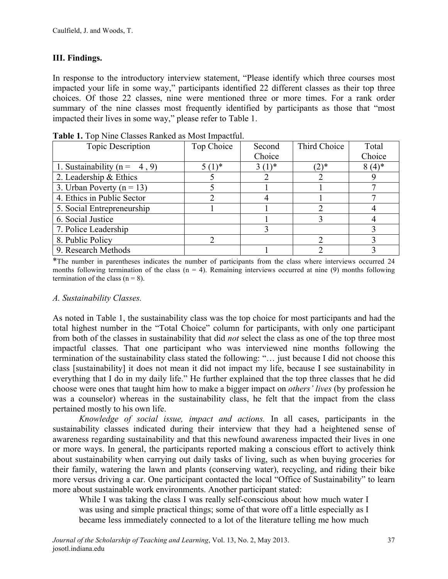# **III. Findings.**

In response to the introductory interview statement, "Please identify which three courses most impacted your life in some way," participants identified 22 different classes as their top three choices. Of those 22 classes, nine were mentioned three or more times. For a rank order summary of the nine classes most frequently identified by participants as those that "most impacted their lives in some way," please refer to Table 1.

| <b>Topic Description</b>         | Top Choice | Second     | Third Choice | Total    |
|----------------------------------|------------|------------|--------------|----------|
|                                  |            | Choice     |              | Choice   |
| 1. Sustainability ( $n = 4, 9$ ) | $5(1)^*$   | $3(1)^{*}$ | $(2)$ *      | $8(4)$ * |
| 2. Leadership & Ethics           |            |            |              |          |
| 3. Urban Poverty ( $n = 13$ )    |            |            |              |          |
| 4. Ethics in Public Sector       |            |            |              |          |
| 5. Social Entrepreneurship       |            |            |              |          |
| 6. Social Justice                |            |            |              |          |
| 7. Police Leadership             |            |            |              |          |
| 8. Public Policy                 |            |            |              |          |
| 9. Research Methods              |            |            |              |          |

**Table 1.** Top Nine Classes Ranked as Most Impactful.

\*The number in parentheses indicates the number of participants from the class where interviews occurred 24 months following termination of the class  $(n = 4)$ . Remaining interviews occurred at nine (9) months following termination of the class  $(n = 8)$ .

#### *A. Sustainability Classes.*

As noted in Table 1, the sustainability class was the top choice for most participants and had the total highest number in the "Total Choice" column for participants, with only one participant from both of the classes in sustainability that did *not* select the class as one of the top three most impactful classes. That one participant who was interviewed nine months following the termination of the sustainability class stated the following: "… just because I did not choose this class [sustainability] it does not mean it did not impact my life, because I see sustainability in everything that I do in my daily life." He further explained that the top three classes that he did choose were ones that taught him how to make a bigger impact on *others' lives* (by profession he was a counselor) whereas in the sustainability class, he felt that the impact from the class pertained mostly to his own life.

*Knowledge of social issue, impact and actions.* In all cases, participants in the sustainability classes indicated during their interview that they had a heightened sense of awareness regarding sustainability and that this newfound awareness impacted their lives in one or more ways. In general, the participants reported making a conscious effort to actively think about sustainability when carrying out daily tasks of living, such as when buying groceries for their family, watering the lawn and plants (conserving water), recycling, and riding their bike more versus driving a car. One participant contacted the local "Office of Sustainability" to learn more about sustainable work environments. Another participant stated:

While I was taking the class I was really self-conscious about how much water I was using and simple practical things; some of that wore off a little especially as I became less immediately connected to a lot of the literature telling me how much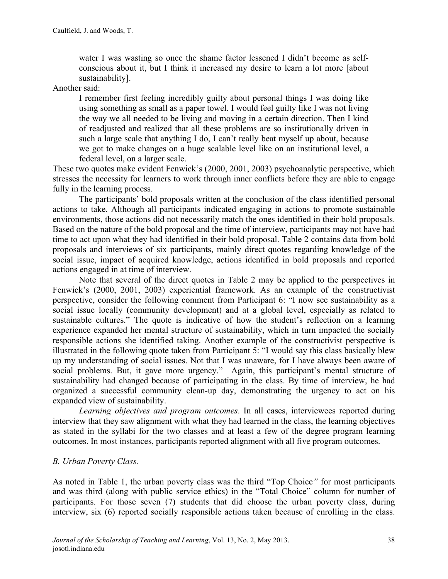water I was wasting so once the shame factor lessened I didn't become as selfconscious about it, but I think it increased my desire to learn a lot more [about sustainability].

### Another said:

I remember first feeling incredibly guilty about personal things I was doing like using something as small as a paper towel. I would feel guilty like I was not living the way we all needed to be living and moving in a certain direction. Then I kind of readjusted and realized that all these problems are so institutionally driven in such a large scale that anything I do, I can't really beat myself up about, because we got to make changes on a huge scalable level like on an institutional level, a federal level, on a larger scale.

These two quotes make evident Fenwick's (2000, 2001, 2003) psychoanalytic perspective, which stresses the necessity for learners to work through inner conflicts before they are able to engage fully in the learning process.

The participants' bold proposals written at the conclusion of the class identified personal actions to take. Although all participants indicated engaging in actions to promote sustainable environments, those actions did not necessarily match the ones identified in their bold proposals. Based on the nature of the bold proposal and the time of interview, participants may not have had time to act upon what they had identified in their bold proposal. Table 2 contains data from bold proposals and interviews of six participants, mainly direct quotes regarding knowledge of the social issue, impact of acquired knowledge, actions identified in bold proposals and reported actions engaged in at time of interview.

Note that several of the direct quotes in Table 2 may be applied to the perspectives in Fenwick's (2000, 2001, 2003) experiential framework. As an example of the constructivist perspective, consider the following comment from Participant 6: "I now see sustainability as a social issue locally (community development) and at a global level, especially as related to sustainable cultures." The quote is indicative of how the student's reflection on a learning experience expanded her mental structure of sustainability, which in turn impacted the socially responsible actions she identified taking. Another example of the constructivist perspective is illustrated in the following quote taken from Participant 5: "I would say this class basically blew up my understanding of social issues. Not that I was unaware, for I have always been aware of social problems. But, it gave more urgency." Again, this participant's mental structure of sustainability had changed because of participating in the class. By time of interview, he had organized a successful community clean-up day, demonstrating the urgency to act on his expanded view of sustainability.

*Learning objectives and program outcomes*. In all cases, interviewees reported during interview that they saw alignment with what they had learned in the class, the learning objectives as stated in the syllabi for the two classes and at least a few of the degree program learning outcomes. In most instances, participants reported alignment with all five program outcomes.

# *B. Urban Poverty Class.*

As noted in Table 1, the urban poverty class was the third "Top Choice*"* for most participants and was third (along with public service ethics) in the "Total Choice" column for number of participants. For those seven (7) students that did choose the urban poverty class, during interview, six (6) reported socially responsible actions taken because of enrolling in the class.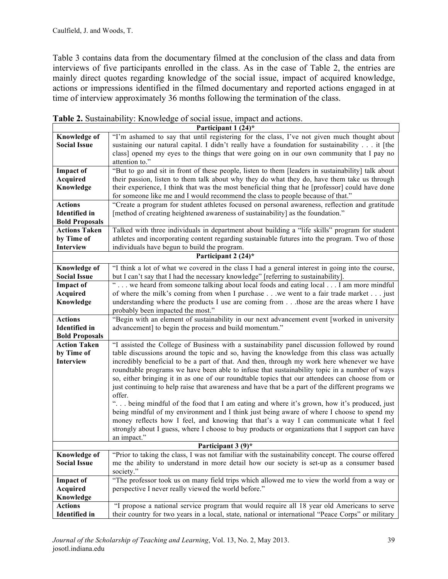Table 3 contains data from the documentary filmed at the conclusion of the class and data from interviews of five participants enrolled in the class. As in the case of Table 2, the entries are mainly direct quotes regarding knowledge of the social issue, impact of acquired knowledge, actions or impressions identified in the filmed documentary and reported actions engaged in at time of interview approximately 36 months following the termination of the class.

| Participant 1 (24)*   |                                                                                                          |  |  |  |
|-----------------------|----------------------------------------------------------------------------------------------------------|--|--|--|
| <b>Knowledge of</b>   | "I'm ashamed to say that until registering for the class, I've not given much thought about              |  |  |  |
| <b>Social Issue</b>   | sustaining our natural capital. I didn't really have a foundation for sustainability it [the             |  |  |  |
|                       | class] opened my eyes to the things that were going on in our own community that I pay no                |  |  |  |
|                       | attention to."                                                                                           |  |  |  |
| <b>Impact of</b>      | "But to go and sit in front of these people, listen to them [leaders in sustainability] talk about       |  |  |  |
| <b>Acquired</b>       | their passion, listen to them talk about why they do what they do, have them take us through             |  |  |  |
| Knowledge             | their experience, I think that was the most beneficial thing that he [professor] could have done         |  |  |  |
|                       | for someone like me and I would recommend the class to people because of that."                          |  |  |  |
| <b>Actions</b>        | "Create a program for student athletes focused on personal awareness, reflection and gratitude           |  |  |  |
| <b>Identified</b> in  | [method of creating heightened awareness of sustainability] as the foundation."                          |  |  |  |
| <b>Bold Proposals</b> |                                                                                                          |  |  |  |
| <b>Actions Taken</b>  | Talked with three individuals in department about building a "life skills" program for student           |  |  |  |
| by Time of            | athletes and incorporating content regarding sustainable futures into the program. Two of those          |  |  |  |
| Interview             | individuals have begun to build the program.                                                             |  |  |  |
|                       | Participant 2 $(24)^*$                                                                                   |  |  |  |
| <b>Knowledge of</b>   | "I think a lot of what we covered in the class I had a general interest in going into the course,        |  |  |  |
| <b>Social Issue</b>   | but I can't say that I had the necessary knowledge" [referring to sustainability].                       |  |  |  |
| <b>Impact of</b>      | " we heard from someone talking about local foods and eating local I am more mindful                     |  |  |  |
| <b>Acquired</b>       | of where the milk's coming from when I purchase we went to a fair trade market just                      |  |  |  |
| Knowledge             | understanding where the products I use are coming fromthose are the areas where I have                   |  |  |  |
|                       | probably been impacted the most."                                                                        |  |  |  |
| <b>Actions</b>        | "Begin with an element of sustainability in our next advancement event [worked in university             |  |  |  |
| <b>Identified</b> in  | advancement] to begin the process and build momentum."                                                   |  |  |  |
| <b>Bold Proposals</b> |                                                                                                          |  |  |  |
| <b>Action Taken</b>   | "I assisted the College of Business with a sustainability panel discussion followed by round             |  |  |  |
| by Time of            | table discussions around the topic and so, having the knowledge from this class was actually             |  |  |  |
| <b>Interview</b>      | incredibly beneficial to be a part of that. And then, through my work here whenever we have              |  |  |  |
|                       | roundtable programs we have been able to infuse that sustainability topic in a number of ways            |  |  |  |
|                       | so, either bringing it in as one of our roundtable topics that our attendees can choose from or          |  |  |  |
|                       | just continuing to help raise that awareness and have that be a part of the different programs we        |  |  |  |
|                       | offer.                                                                                                   |  |  |  |
|                       | " being mindful of the food that I am eating and where it's grown, how it's produced, just               |  |  |  |
|                       | being mindful of my environment and I think just being aware of where I choose to spend my               |  |  |  |
|                       | money reflects how I feel, and knowing that that's a way I can communicate what I feel                   |  |  |  |
|                       | strongly about I guess, where I choose to buy products or organizations that I support can have          |  |  |  |
|                       | an impact."                                                                                              |  |  |  |
|                       | Participant 3 (9)*                                                                                       |  |  |  |
| <b>Knowledge of</b>   | "Prior to taking the class, I was not familiar with the sustainability concept. The course offered       |  |  |  |
| <b>Social Issue</b>   | me the ability to understand in more detail how our society is set-up as a consumer based                |  |  |  |
|                       | society."<br>"The professor took us on many field trips which allowed me to view the world from a way or |  |  |  |
| <b>Impact of</b>      |                                                                                                          |  |  |  |
| <b>Acquired</b>       | perspective I never really viewed the world before."                                                     |  |  |  |
| Knowledge             |                                                                                                          |  |  |  |
| <b>Actions</b>        | "I propose a national service program that would require all 18 year old Americans to serve              |  |  |  |
| <b>Identified</b> in  | their country for two years in a local, state, national or international "Peace Corps" or military       |  |  |  |

|  |  | Table 2. Sustainability: Knowledge of social issue, impact and actions. |
|--|--|-------------------------------------------------------------------------|
|  |  |                                                                         |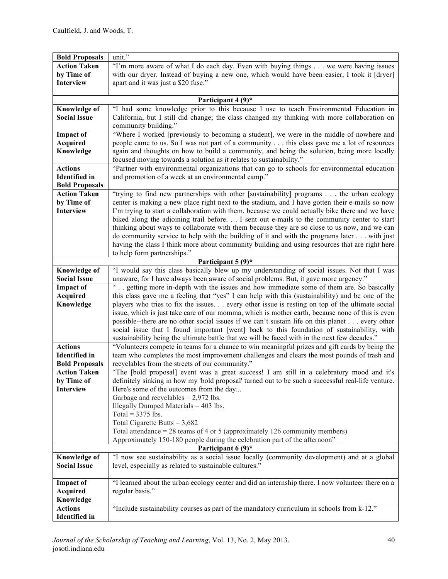| <b>Bold Proposals</b>                                                                      | unit."                                                                                             |  |  |  |  |  |  |
|--------------------------------------------------------------------------------------------|----------------------------------------------------------------------------------------------------|--|--|--|--|--|--|
| <b>Action Taken</b>                                                                        | "I'm more aware of what I do each day. Even with buying things we were having issues               |  |  |  |  |  |  |
| by Time of                                                                                 | with our dryer. Instead of buying a new one, which would have been easier, I took it [dryer]       |  |  |  |  |  |  |
| <b>Interview</b>                                                                           | apart and it was just a \$20 fuse."                                                                |  |  |  |  |  |  |
|                                                                                            |                                                                                                    |  |  |  |  |  |  |
|                                                                                            | Participant 4 (9)*                                                                                 |  |  |  |  |  |  |
| <b>Knowledge of</b>                                                                        | "I had some knowledge prior to this because I use to teach Environmental Education in              |  |  |  |  |  |  |
| <b>Social Issue</b>                                                                        | California, but I still did change; the class changed my thinking with more collaboration on       |  |  |  |  |  |  |
|                                                                                            | community building."                                                                               |  |  |  |  |  |  |
| <b>Impact of</b>                                                                           | "Where I worked [previously to becoming a student], we were in the middle of nowhere and           |  |  |  |  |  |  |
| <b>Acquired</b>                                                                            | people came to us. So I was not part of a community this class gave me a lot of resources          |  |  |  |  |  |  |
| Knowledge                                                                                  | again and thoughts on how to build a community, and being the solution, being more locally         |  |  |  |  |  |  |
|                                                                                            | focused moving towards a solution as it relates to sustainability."                                |  |  |  |  |  |  |
| <b>Actions</b>                                                                             | "Partner with environmental organizations that can go to schools for environmental education       |  |  |  |  |  |  |
| <b>Identified</b> in                                                                       | and promotion of a week at an environmental camp."                                                 |  |  |  |  |  |  |
| <b>Bold Proposals</b>                                                                      |                                                                                                    |  |  |  |  |  |  |
| <b>Action Taken</b>                                                                        | "trying to find new partnerships with other [sustainability] programs the urban ecology            |  |  |  |  |  |  |
| by Time of                                                                                 | center is making a new place right next to the stadium, and I have gotten their e-mails so now     |  |  |  |  |  |  |
| <b>Interview</b>                                                                           | I'm trying to start a collaboration with them, because we could actually bike there and we have    |  |  |  |  |  |  |
|                                                                                            | biked along the adjoining trail before. I sent out e-mails to the community center to start        |  |  |  |  |  |  |
|                                                                                            | thinking about ways to collaborate with them because they are so close to us now, and we can       |  |  |  |  |  |  |
|                                                                                            | do community service to help with the building of it and with the programs later  with just        |  |  |  |  |  |  |
|                                                                                            | having the class I think more about community building and using resources that are right here     |  |  |  |  |  |  |
|                                                                                            | to help form partnerships."                                                                        |  |  |  |  |  |  |
|                                                                                            | Participant $5(9)^*$                                                                               |  |  |  |  |  |  |
| <b>Knowledge of</b>                                                                        | "I would say this class basically blew up my understanding of social issues. Not that I was        |  |  |  |  |  |  |
| <b>Social Issue</b>                                                                        | unaware, for I have always been aware of social problems. But, it gave more urgency."              |  |  |  |  |  |  |
| <b>Impact of</b>                                                                           | getting more in-depth with the issues and how immediate some of them are. So basically             |  |  |  |  |  |  |
| <b>Acquired</b>                                                                            | this class gave me a feeling that "yes" I can help with this (sustainability) and be one of the    |  |  |  |  |  |  |
| Knowledge                                                                                  | players who tries to fix the issues every other issue is resting on top of the ultimate social     |  |  |  |  |  |  |
|                                                                                            | issue, which is just take care of our momma, which is mother earth, because none of this is even   |  |  |  |  |  |  |
|                                                                                            | possible--there are no other social issues if we can't sustain life on this planet every other     |  |  |  |  |  |  |
| social issue that I found important [went] back to this foundation of sustainability, with |                                                                                                    |  |  |  |  |  |  |
|                                                                                            | sustainability being the ultimate battle that we will be faced with in the next few decades."      |  |  |  |  |  |  |
| <b>Actions</b>                                                                             | "Volunteers compete in teams for a chance to win meaningful prizes and gift cards by being the     |  |  |  |  |  |  |
| <b>Identified</b> in                                                                       | team who completes the most improvement challenges and clears the most pounds of trash and         |  |  |  |  |  |  |
| <b>Bold Proposals</b>                                                                      | recyclables from the streets of our community."                                                    |  |  |  |  |  |  |
| <b>Action Taken</b>                                                                        | "The [bold proposal] event was a great success! I am still in a celebratory mood and it's          |  |  |  |  |  |  |
| by Time of                                                                                 | definitely sinking in how my 'bold proposal' turned out to be such a successful real-life venture. |  |  |  |  |  |  |
| <b>Interview</b>                                                                           | Here's some of the outcomes from the day                                                           |  |  |  |  |  |  |
|                                                                                            | Garbage and recyclables $= 2.972$ lbs.                                                             |  |  |  |  |  |  |
|                                                                                            | Illegally Dumped Materials $=$ 403 lbs.                                                            |  |  |  |  |  |  |
|                                                                                            | Total = $3375$ lbs.                                                                                |  |  |  |  |  |  |
|                                                                                            | Total Cigarette Butts = $3,682$                                                                    |  |  |  |  |  |  |
|                                                                                            | Total attendance = 28 teams of 4 or 5 (approximately 126 community members)                        |  |  |  |  |  |  |
|                                                                                            | Approximately 150-180 people during the celebration part of the afternoon"                         |  |  |  |  |  |  |
|                                                                                            | Participant 6 (9)*                                                                                 |  |  |  |  |  |  |
| <b>Knowledge of</b>                                                                        | "I now see sustainability as a social issue locally (community development) and at a global        |  |  |  |  |  |  |
| <b>Social Issue</b>                                                                        | level, especially as related to sustainable cultures."                                             |  |  |  |  |  |  |
|                                                                                            |                                                                                                    |  |  |  |  |  |  |
| <b>Impact of</b>                                                                           | "I learned about the urban ecology center and did an internship there. I now volunteer there on a  |  |  |  |  |  |  |
| Acquired                                                                                   | regular basis."                                                                                    |  |  |  |  |  |  |
| Knowledge                                                                                  |                                                                                                    |  |  |  |  |  |  |
| <b>Actions</b>                                                                             | "Include sustainability courses as part of the mandatory curriculum in schools from k-12."         |  |  |  |  |  |  |
| <b>Identified</b> in                                                                       |                                                                                                    |  |  |  |  |  |  |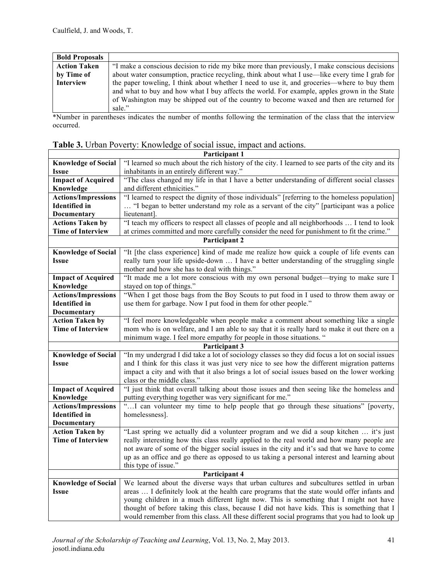| <b>Bold Proposals</b> |                                                                                                |
|-----------------------|------------------------------------------------------------------------------------------------|
| <b>Action Taken</b>   | "I make a conscious decision to ride my bike more than previously, I make conscious decisions  |
| by Time of            | about water consumption, practice recycling, think about what I use—like every time I grab for |
| <b>Interview</b>      | the paper toweling, I think about whether I need to use it, and groceries—where to buy them    |
|                       | and what to buy and how what I buy affects the world. For example, apples grown in the State   |
|                       | of Washington may be shipped out of the country to become waxed and then are returned for      |
|                       | sale."                                                                                         |

\*Number in parentheses indicates the number of months following the termination of the class that the interview occurred.

| Participant 1                                                                                                                 |                                                                                                   |  |  |  |
|-------------------------------------------------------------------------------------------------------------------------------|---------------------------------------------------------------------------------------------------|--|--|--|
| <b>Knowledge of Social</b>                                                                                                    | "I learned so much about the rich history of the city. I learned to see parts of the city and its |  |  |  |
| Issue                                                                                                                         | inhabitants in an entirely different way."                                                        |  |  |  |
| <b>Impact of Acquired</b>                                                                                                     | "The class changed my life in that I have a better understanding of different social classes      |  |  |  |
| Knowledge                                                                                                                     | and different ethnicities."                                                                       |  |  |  |
| <b>Actions/Impressions</b>                                                                                                    | "I learned to respect the dignity of those individuals" [referring to the homeless population]    |  |  |  |
| <b>Identified</b> in                                                                                                          | "I began to better understand my role as a servant of the city" [participant was a police         |  |  |  |
| Documentary                                                                                                                   | lieutenant].                                                                                      |  |  |  |
| <b>Actions Taken by</b>                                                                                                       | "I teach my officers to respect all classes of people and all neighborhoods  I tend to look       |  |  |  |
| <b>Time of Interview</b>                                                                                                      | at crimes committed and more carefully consider the need for punishment to fit the crime."        |  |  |  |
|                                                                                                                               | Participant 2                                                                                     |  |  |  |
| <b>Knowledge of Social</b>                                                                                                    | "It [the class experience] kind of made me realize how quick a couple of life events can          |  |  |  |
| <b>Issue</b>                                                                                                                  | really turn your life upside-down  I have a better understanding of the struggling single         |  |  |  |
|                                                                                                                               | mother and how she has to deal with things."                                                      |  |  |  |
| <b>Impact of Acquired</b>                                                                                                     | "It made me a lot more conscious with my own personal budget—trying to make sure I                |  |  |  |
| Knowledge                                                                                                                     | stayed on top of things."                                                                         |  |  |  |
| <b>Actions/Impressions</b>                                                                                                    | "When I get those bags from the Boy Scouts to put food in I used to throw them away or            |  |  |  |
| <b>Identified</b> in                                                                                                          | use them for garbage. Now I put food in them for other people."                                   |  |  |  |
| Documentary                                                                                                                   |                                                                                                   |  |  |  |
| <b>Action Taken by</b>                                                                                                        | "I feel more knowledgeable when people make a comment about something like a single               |  |  |  |
| <b>Time of Interview</b>                                                                                                      | mom who is on welfare, and I am able to say that it is really hard to make it out there on a      |  |  |  |
| minimum wage. I feel more empathy for people in those situations. "                                                           |                                                                                                   |  |  |  |
|                                                                                                                               | Participant 3                                                                                     |  |  |  |
| "In my undergrad I did take a lot of sociology classes so they did focus a lot on social issues<br><b>Knowledge of Social</b> |                                                                                                   |  |  |  |
| Issue                                                                                                                         | and I think for this class it was just very nice to see how the different migration patterns      |  |  |  |
|                                                                                                                               | impact a city and with that it also brings a lot of social issues based on the lower working      |  |  |  |
|                                                                                                                               | class or the middle class."                                                                       |  |  |  |
| <b>Impact of Acquired</b>                                                                                                     | "I just think that overall talking about those issues and then seeing like the homeless and       |  |  |  |
| Knowledge                                                                                                                     | putting everything together was very significant for me."                                         |  |  |  |
| <b>Actions/Impressions</b>                                                                                                    | "I can volunteer my time to help people that go through these situations" [poverty,               |  |  |  |
| <b>Identified</b> in                                                                                                          | homelessness].                                                                                    |  |  |  |
| Documentary                                                                                                                   |                                                                                                   |  |  |  |
| <b>Action Taken by</b>                                                                                                        | "Last spring we actually did a volunteer program and we did a soup kitchen  it's just             |  |  |  |
| <b>Time of Interview</b>                                                                                                      | really interesting how this class really applied to the real world and how many people are        |  |  |  |
|                                                                                                                               | not aware of some of the bigger social issues in the city and it's sad that we have to come       |  |  |  |
|                                                                                                                               | up as an office and go there as opposed to us taking a personal interest and learning about       |  |  |  |
|                                                                                                                               | this type of issue."                                                                              |  |  |  |
|                                                                                                                               | Participant 4                                                                                     |  |  |  |
| <b>Knowledge of Social</b>                                                                                                    | We learned about the diverse ways that urban cultures and subcultures settled in urban            |  |  |  |
| <b>Issue</b>                                                                                                                  | areas  I definitely look at the health care programs that the state would offer infants and       |  |  |  |
|                                                                                                                               | young children in a much different light now. This is something that I might not have             |  |  |  |
|                                                                                                                               | thought of before taking this class, because I did not have kids. This is something that I        |  |  |  |
|                                                                                                                               | would remember from this class. All these different social programs that you had to look up       |  |  |  |

|  |  |  | Table 3. Urban Poverty: Knowledge of social issue, impact and actions. |  |
|--|--|--|------------------------------------------------------------------------|--|
|  |  |  |                                                                        |  |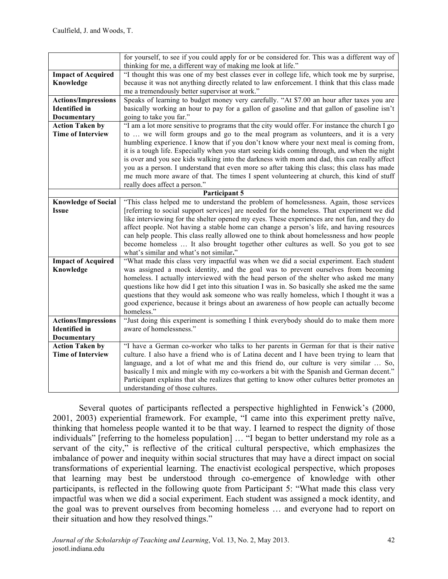|                            | for yourself, to see if you could apply for or be considered for. This was a different way of<br>thinking for me, a different way of making me look at life." |
|----------------------------|---------------------------------------------------------------------------------------------------------------------------------------------------------------|
| <b>Impact of Acquired</b>  | "I thought this was one of my best classes ever in college life, which took me by surprise,                                                                   |
| Knowledge                  | because it was not anything directly related to law enforcement. I think that this class made                                                                 |
|                            | me a tremendously better supervisor at work."                                                                                                                 |
| <b>Actions/Impressions</b> | Speaks of learning to budget money very carefully. "At \$7.00 an hour after taxes you are                                                                     |
| <b>Identified</b> in       | basically working an hour to pay for a gallon of gasoline and that gallon of gasoline isn't                                                                   |
| <b>Documentary</b>         | going to take you far."                                                                                                                                       |
| <b>Action Taken by</b>     | "I am a lot more sensitive to programs that the city would offer. For instance the church I go                                                                |
| <b>Time of Interview</b>   | to  we will form groups and go to the meal program as volunteers, and it is a very                                                                            |
|                            | humbling experience. I know that if you don't know where your next meal is coming from,                                                                       |
|                            | it is a tough life. Especially when you start seeing kids coming through, and when the night                                                                  |
|                            | is over and you see kids walking into the darkness with mom and dad, this can really affect                                                                   |
|                            | you as a person. I understand that even more so after taking this class; this class has made                                                                  |
|                            | me much more aware of that. The times I spent volunteering at church, this kind of stuff                                                                      |
|                            | really does affect a person."                                                                                                                                 |
|                            | Participant 5                                                                                                                                                 |
| <b>Knowledge of Social</b> | "This class helped me to understand the problem of homelessness. Again, those services                                                                        |
| <b>Issue</b>               | [referring to social support services] are needed for the homeless. That experiment we did                                                                    |
|                            | like interviewing for the shelter opened my eyes. These experiences are not fun, and they do                                                                  |
|                            | affect people. Not having a stable home can change a person's life, and having resources                                                                      |
|                            | can help people. This class really allowed one to think about homelessness and how people                                                                     |
|                            | become homeless  It also brought together other cultures as well. So you got to see                                                                           |
|                            | what's similar and what's not similar."                                                                                                                       |
| <b>Impact of Acquired</b>  | "What made this class very impactful was when we did a social experiment. Each student                                                                        |
| Knowledge                  | was assigned a mock identity, and the goal was to prevent ourselves from becoming                                                                             |
|                            | homeless. I actually interviewed with the head person of the shelter who asked me many                                                                        |
|                            | questions like how did I get into this situation I was in. So basically she asked me the same                                                                 |
|                            | questions that they would ask someone who was really homeless, which I thought it was a                                                                       |
|                            | good experience, because it brings about an awareness of how people can actually become<br>homeless."                                                         |
| <b>Actions/Impressions</b> | "Just doing this experiment is something I think everybody should do to make them more                                                                        |
| <b>Identified</b> in       | aware of homelessness."                                                                                                                                       |
| Documentary                |                                                                                                                                                               |
| <b>Action Taken by</b>     | "I have a German co-worker who talks to her parents in German for that is their native                                                                        |
| <b>Time of Interview</b>   | culture. I also have a friend who is of Latina decent and I have been trying to learn that                                                                    |
|                            | language, and a lot of what me and this friend do, our culture is very similar  So,                                                                           |
|                            | basically I mix and mingle with my co-workers a bit with the Spanish and German decent."                                                                      |
|                            | Participant explains that she realizes that getting to know other cultures better promotes an                                                                 |
|                            | understanding of those cultures.                                                                                                                              |

Several quotes of participants reflected a perspective highlighted in Fenwick's (2000, 2001, 2003) experiential framework. For example, "I came into this experiment pretty naïve, thinking that homeless people wanted it to be that way. I learned to respect the dignity of those individuals" [referring to the homeless population] … "I began to better understand my role as a servant of the city," is reflective of the critical cultural perspective, which emphasizes the imbalance of power and inequity within social structures that may have a direct impact on social transformations of experiential learning. The enactivist ecological perspective, which proposes that learning may best be understood through co-emergence of knowledge with other participants, is reflected in the following quote from Participant 5: "What made this class very impactful was when we did a social experiment. Each student was assigned a mock identity, and the goal was to prevent ourselves from becoming homeless … and everyone had to report on their situation and how they resolved things."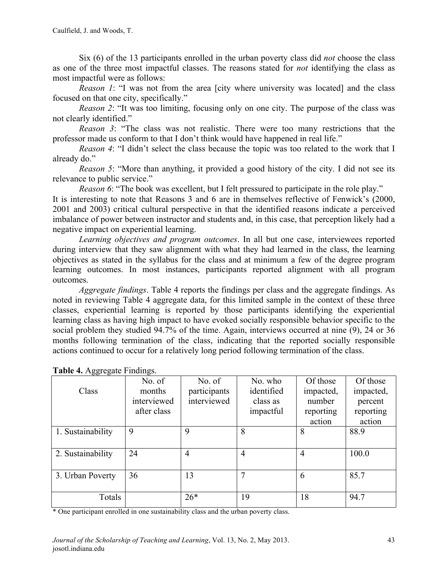Six (6) of the 13 participants enrolled in the urban poverty class did *not* choose the class as one of the three most impactful classes. The reasons stated for *not* identifying the class as most impactful were as follows:

*Reason 1*: "I was not from the area [city where university was located] and the class focused on that one city, specifically."

*Reason 2*: "It was too limiting, focusing only on one city. The purpose of the class was not clearly identified."

*Reason 3*: "The class was not realistic. There were too many restrictions that the professor made us conform to that I don't think would have happened in real life."

*Reason 4*: "I didn't select the class because the topic was too related to the work that I already do."

*Reason 5*: "More than anything, it provided a good history of the city. I did not see its relevance to public service."

*Reason* 6: "The book was excellent, but I felt pressured to participate in the role play."

It is interesting to note that Reasons 3 and 6 are in themselves reflective of Fenwick's (2000, 2001 and 2003) critical cultural perspective in that the identified reasons indicate a perceived imbalance of power between instructor and students and, in this case, that perception likely had a negative impact on experiential learning.

*Learning objectives and program outcomes*. In all but one case, interviewees reported during interview that they saw alignment with what they had learned in the class, the learning objectives as stated in the syllabus for the class and at minimum a few of the degree program learning outcomes. In most instances, participants reported alignment with all program outcomes.

*Aggregate findings*. Table 4 reports the findings per class and the aggregate findings. As noted in reviewing Table 4 aggregate data, for this limited sample in the context of these three classes, experiential learning is reported by those participants identifying the experiential learning class as having high impact to have evoked socially responsible behavior specific to the social problem they studied 94.7% of the time. Again, interviews occurred at nine (9), 24 or 36 months following termination of the class, indicating that the reported socially responsible actions continued to occur for a relatively long period following termination of the class.

| $\overline{\omega}$ $\overline{\omega}$ $\overline{\omega}$ | $\sim$<br>No. of | No. of         | No. who        | Of those  | Of those  |
|-------------------------------------------------------------|------------------|----------------|----------------|-----------|-----------|
| Class                                                       | months           | participants   | identified     | impacted, | impacted, |
|                                                             | interviewed      | interviewed    | class as       | number    | percent   |
|                                                             | after class      |                | impactful      | reporting | reporting |
|                                                             |                  |                |                | action    | action    |
| 1. Sustainability                                           | 9                | 9              | 8              | 8         | 88.9      |
|                                                             |                  |                |                |           |           |
| 2. Sustainability                                           | 24               | $\overline{4}$ | $\overline{4}$ | 4         | 100.0     |
|                                                             |                  |                |                |           |           |
| 3. Urban Poverty                                            | 36               | 13             |                | 6         | 85.7      |
|                                                             |                  |                |                |           |           |
| Totals                                                      |                  | $26*$          | 19             | 18        | 94.7      |
|                                                             |                  |                |                |           |           |

#### **Table 4.** Aggregate Findings.

\* One participant enrolled in one sustainability class and the urban poverty class.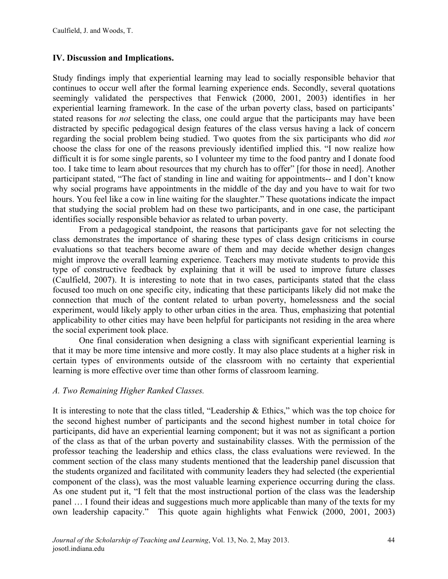# **IV. Discussion and Implications.**

Study findings imply that experiential learning may lead to socially responsible behavior that continues to occur well after the formal learning experience ends. Secondly, several quotations seemingly validated the perspectives that Fenwick (2000, 2001, 2003) identifies in her experiential learning framework. In the case of the urban poverty class, based on participants' stated reasons for *not* selecting the class, one could argue that the participants may have been distracted by specific pedagogical design features of the class versus having a lack of concern regarding the social problem being studied. Two quotes from the six participants who did *not* choose the class for one of the reasons previously identified implied this. "I now realize how difficult it is for some single parents, so I volunteer my time to the food pantry and I donate food too. I take time to learn about resources that my church has to offer" [for those in need]. Another participant stated, "The fact of standing in line and waiting for appointments-- and I don't know why social programs have appointments in the middle of the day and you have to wait for two hours. You feel like a cow in line waiting for the slaughter." These quotations indicate the impact that studying the social problem had on these two participants, and in one case, the participant identifies socially responsible behavior as related to urban poverty.

From a pedagogical standpoint, the reasons that participants gave for not selecting the class demonstrates the importance of sharing these types of class design criticisms in course evaluations so that teachers become aware of them and may decide whether design changes might improve the overall learning experience. Teachers may motivate students to provide this type of constructive feedback by explaining that it will be used to improve future classes (Caulfield, 2007). It is interesting to note that in two cases, participants stated that the class focused too much on one specific city, indicating that these participants likely did not make the connection that much of the content related to urban poverty, homelessness and the social experiment, would likely apply to other urban cities in the area. Thus, emphasizing that potential applicability to other cities may have been helpful for participants not residing in the area where the social experiment took place.

One final consideration when designing a class with significant experiential learning is that it may be more time intensive and more costly. It may also place students at a higher risk in certain types of environments outside of the classroom with no certainty that experiential learning is more effective over time than other forms of classroom learning.

# *A. Two Remaining Higher Ranked Classes.*

It is interesting to note that the class titled, "Leadership & Ethics," which was the top choice for the second highest number of participants and the second highest number in total choice for participants, did have an experiential learning component; but it was not as significant a portion of the class as that of the urban poverty and sustainability classes. With the permission of the professor teaching the leadership and ethics class, the class evaluations were reviewed. In the comment section of the class many students mentioned that the leadership panel discussion that the students organized and facilitated with community leaders they had selected (the experiential component of the class), was the most valuable learning experience occurring during the class. As one student put it, "I felt that the most instructional portion of the class was the leadership panel … I found their ideas and suggestions much more applicable than many of the texts for my own leadership capacity." This quote again highlights what Fenwick (2000, 2001, 2003)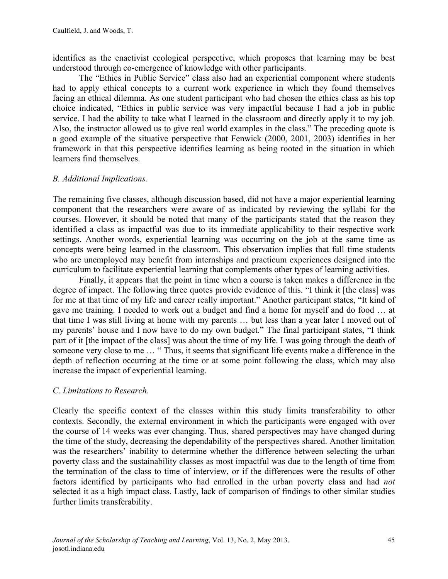identifies as the enactivist ecological perspective, which proposes that learning may be best understood through co-emergence of knowledge with other participants.

The "Ethics in Public Service" class also had an experiential component where students had to apply ethical concepts to a current work experience in which they found themselves facing an ethical dilemma. As one student participant who had chosen the ethics class as his top choice indicated, "Ethics in public service was very impactful because I had a job in public service. I had the ability to take what I learned in the classroom and directly apply it to my job. Also, the instructor allowed us to give real world examples in the class." The preceding quote is a good example of the situative perspective that Fenwick (2000, 2001, 2003) identifies in her framework in that this perspective identifies learning as being rooted in the situation in which learners find themselves.

# *B. Additional Implications.*

The remaining five classes, although discussion based, did not have a major experiential learning component that the researchers were aware of as indicated by reviewing the syllabi for the courses. However, it should be noted that many of the participants stated that the reason they identified a class as impactful was due to its immediate applicability to their respective work settings. Another words, experiential learning was occurring on the job at the same time as concepts were being learned in the classroom. This observation implies that full time students who are unemployed may benefit from internships and practicum experiences designed into the curriculum to facilitate experiential learning that complements other types of learning activities.

Finally, it appears that the point in time when a course is taken makes a difference in the degree of impact. The following three quotes provide evidence of this. "I think it [the class] was for me at that time of my life and career really important." Another participant states, "It kind of gave me training. I needed to work out a budget and find a home for myself and do food … at that time I was still living at home with my parents … but less than a year later I moved out of my parents' house and I now have to do my own budget." The final participant states, "I think part of it [the impact of the class] was about the time of my life. I was going through the death of someone very close to me … " Thus, it seems that significant life events make a difference in the depth of reflection occurring at the time or at some point following the class, which may also increase the impact of experiential learning.

# *C. Limitations to Research.*

Clearly the specific context of the classes within this study limits transferability to other contexts. Secondly, the external environment in which the participants were engaged with over the course of 14 weeks was ever changing. Thus, shared perspectives may have changed during the time of the study, decreasing the dependability of the perspectives shared. Another limitation was the researchers' inability to determine whether the difference between selecting the urban poverty class and the sustainability classes as most impactful was due to the length of time from the termination of the class to time of interview, or if the differences were the results of other factors identified by participants who had enrolled in the urban poverty class and had *not*  selected it as a high impact class. Lastly, lack of comparison of findings to other similar studies further limits transferability.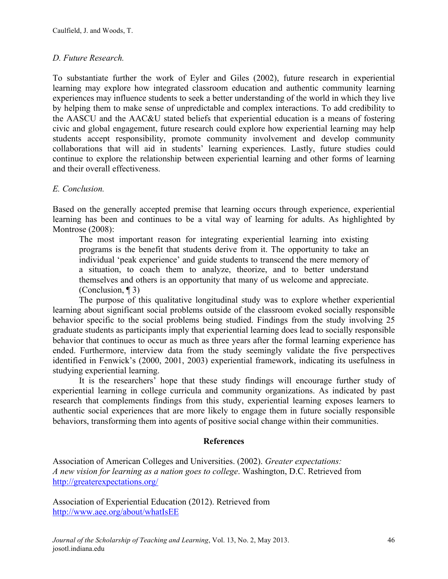# *D. Future Research.*

To substantiate further the work of Eyler and Giles (2002), future research in experiential learning may explore how integrated classroom education and authentic community learning experiences may influence students to seek a better understanding of the world in which they live by helping them to make sense of unpredictable and complex interactions. To add credibility to the AASCU and the AAC&U stated beliefs that experiential education is a means of fostering civic and global engagement, future research could explore how experiential learning may help students accept responsibility, promote community involvement and develop community collaborations that will aid in students' learning experiences. Lastly, future studies could continue to explore the relationship between experiential learning and other forms of learning and their overall effectiveness.

# *E. Conclusion.*

Based on the generally accepted premise that learning occurs through experience, experiential learning has been and continues to be a vital way of learning for adults. As highlighted by Montrose (2008):

The most important reason for integrating experiential learning into existing programs is the benefit that students derive from it. The opportunity to take an individual 'peak experience' and guide students to transcend the mere memory of a situation, to coach them to analyze, theorize, and to better understand themselves and others is an opportunity that many of us welcome and appreciate. (Conclusion, ¶ 3)

The purpose of this qualitative longitudinal study was to explore whether experiential learning about significant social problems outside of the classroom evoked socially responsible behavior specific to the social problems being studied. Findings from the study involving 25 graduate students as participants imply that experiential learning does lead to socially responsible behavior that continues to occur as much as three years after the formal learning experience has ended. Furthermore, interview data from the study seemingly validate the five perspectives identified in Fenwick's (2000, 2001, 2003) experiential framework, indicating its usefulness in studying experiential learning.

It is the researchers' hope that these study findings will encourage further study of experiential learning in college curricula and community organizations. As indicated by past research that complements findings from this study, experiential learning exposes learners to authentic social experiences that are more likely to engage them in future socially responsible behaviors, transforming them into agents of positive social change within their communities.

# **References**

Association of American Colleges and Universities. (2002). *Greater expectations: A new vision for learning as a nation goes to college*. Washington, D.C. Retrieved from http://greaterexpectations.org/

Association of Experiential Education (2012). Retrieved from http://www.aee.org/about/whatIsEE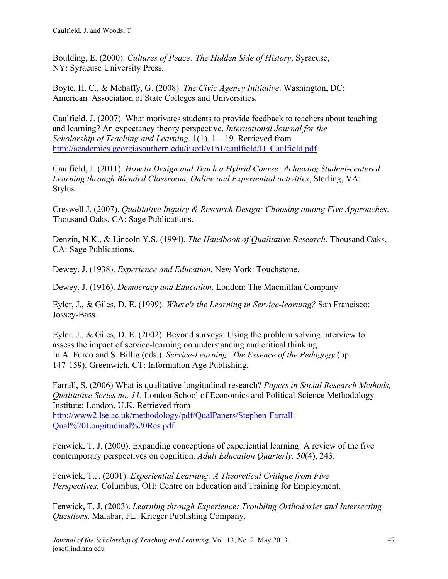Boulding, E. (2000). *Cultures of Peace: The Hidden Side of History*. Syracuse, NY: Syracuse University Press.

Boyte, H. C., & Mehaffy, G. (2008). *The Civic Agency Initiative*. Washington, DC: American Association of State Colleges and Universities.

Caulfield, J. (2007). What motivates students to provide feedback to teachers about teaching and learning? An expectancy theory perspective. *International Journal for the Scholarship of Teaching and Learning,* 1(1), 1 – 19. Retrieved from http://academics.georgiasouthern.edu/ijsotl/v1n1/caulfield/IJ\_Caulfield.pdf

Caulfield, J. (2011). *How to Design and Teach a Hybrid Course: Achieving Student-centered Learning through Blended Classroom, Online and Experiential activities*, Sterling, VA: Stylus.

Creswell J. (2007). *Qualitative Inquiry & Research Design: Choosing among Five Approaches*. Thousand Oaks, CA: Sage Publications.

Denzin, N.K., & Lincoln Y.S. (1994). *The Handbook of Qualitative Research*. Thousand Oaks, CA: Sage Publications.

Dewey, J. (1938). *Experience and Education*. New York: Touchstone.

Dewey, J. (1916). *Democracy and Education*. London: The Macmillan Company.

Eyler, J., & Giles, D. E. (1999). *Where's the Learning in Service-learning?* San Francisco: Jossey-Bass.

Eyler, J., & Giles, D. E. (2002). Beyond surveys: Using the problem solving interview to assess the impact of service-learning on understanding and critical thinking. In A. Furco and S. Billig (eds.), *Service-Learning: The Essence of the Pedagogy* (pp. 147-159). Greenwich, CT: Information Age Publishing.

Farrall, S. (2006) What is qualitative longitudinal research? *Papers in Social Research Methods, Qualitative Series no. 11.* London School of Economics and Political Science Methodology Institute: London, U.K. Retrieved from http://www2.lse.ac.uk/methodology/pdf/QualPapers/Stephen-Farrall-Qual%20Longitudinal%20Res.pdf

Fenwick, T. J. (2000). Expanding conceptions of experiential learning: A review of the five contemporary perspectives on cognition. *Adult Education Quarterly, 50*(4), 243.

Fenwick, T.J. (2001). *Experiential Learning: A Theoretical Critique from Five Perspectives.* Columbus, OH: Centre on Education and Training for Employment.

Fenwick, T. J. (2003). *Learning through Experience: Troubling Orthodoxies and Intersecting Questions.* Malabar, FL: Krieger Publishing Company.